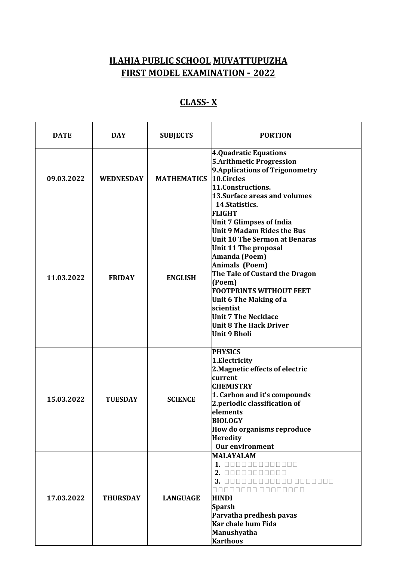## **ILAHIA PUBLIC SCHOOL MUVATTUPUZHA FIRST MODEL EXAMINATION – 2022**

## **CLASS- X**

| <b>DATE</b> | <b>DAY</b>       | <b>SUBJECTS</b>    | <b>PORTION</b>                                                                                                                                                                                                                                                                                                                                                                                             |
|-------------|------------------|--------------------|------------------------------------------------------------------------------------------------------------------------------------------------------------------------------------------------------------------------------------------------------------------------------------------------------------------------------------------------------------------------------------------------------------|
| 09.03.2022  | <b>WEDNESDAY</b> | <b>MATHEMATICS</b> | 4.Quadratic Equations<br><b>5.Arithmetic Progression</b><br>9. Applications of Trigonometry<br>10.Circles<br>11.Constructions.<br>13. Surface areas and volumes<br>14. Statistics.                                                                                                                                                                                                                         |
| 11.03.2022  | <b>FRIDAY</b>    | <b>ENGLISH</b>     | <b>FLIGHT</b><br><b>Unit 7 Glimpses of India</b><br><b>Unit 9 Madam Rides the Bus</b><br><b>Unit 10 The Sermon at Benaras</b><br>Unit 11 The proposal<br>Amanda (Poem)<br>Animals (Poem)<br>The Tale of Custard the Dragon<br>(Poem)<br><b>FOOTPRINTS WITHOUT FEET</b><br><b>Unit 6 The Making of a</b><br>scientist<br><b>Unit 7 The Necklace</b><br><b>Unit 8 The Hack Driver</b><br><b>Unit 9 Bholi</b> |
| 15.03.2022  | <b>TUESDAY</b>   | <b>SCIENCE</b>     | <b>PHYSICS</b><br>1. Electricity<br>2. Magnetic effects of electric<br>current<br><b>CHEMISTRY</b><br>1. Carbon and it's compounds<br>2. periodic classification of<br>elements<br><b>BIOLOGY</b><br>How do organisms reproduce<br><b>Heredity</b><br>Our environment                                                                                                                                      |
| 17.03.2022  | <b>THURSDAY</b>  | <b>LANGUAGE</b>    | <b>MALAYALAM</b><br>1. 000000000000<br>2. 00000000000<br>3. 000000000000 0000000<br>000000000000000<br><b>HINDI</b><br><b>Sparsh</b><br>Parvatha predhesh pavas<br>Kar chale hum Fida<br>Manushyatha<br><b>Karthoos</b>                                                                                                                                                                                    |